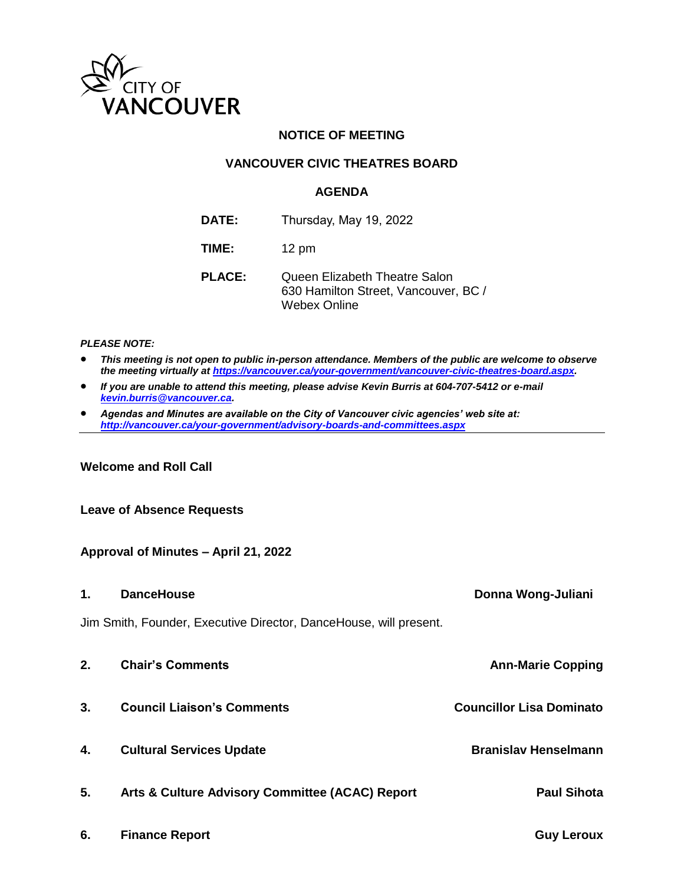

## **NOTICE OF MEETING**

## **VANCOUVER CIVIC THEATRES BOARD**

## **AGENDA**

- **DATE:** Thursday, May 19, 2022
- **TIME:** 12 pm
- **PLACE:** Queen Elizabeth Theatre Salon 630 Hamilton Street, Vancouver, BC / Webex Online

#### *PLEASE NOTE:*

- *This meeting is not open to public in-person attendance. Members of the public are welcome to observe the meeting virtually a[t https://vancouver.ca/your-government/vancouver-civic-theatres-board.aspx.](https://vancouver.ca/your-government/vancouver-civic-theatres-board.aspx)*
- *If you are unable to attend this meeting, please advise Kevin Burris at 604-707-5412 or e-mail [kevin.burris@vancouver.ca.](mailto:kevin.burris@vancouver.ca)*
- *Agendas and Minutes are available on the City of Vancouver civic agencies' web site at: <http://vancouver.ca/your-government/advisory-boards-and-committees.aspx>*

## **Welcome and Roll Call**

## **Leave of Absence Requests**

## **Approval of Minutes – April 21, 2022**

- **1. DanceHouse Donna Wong-Juliani** Jim Smith, Founder, Executive Director, DanceHouse, will present. **2. Chair's Comments Ann-Marie Copping 3. Council Liaison's Comments Councillor Lisa Dominato 4. Cultural Services Update Branislav Henselmann 5. Arts & Culture Advisory Committee (ACAC) Report Paul Sihota**
- **6. Finance Report Guy Leroux**